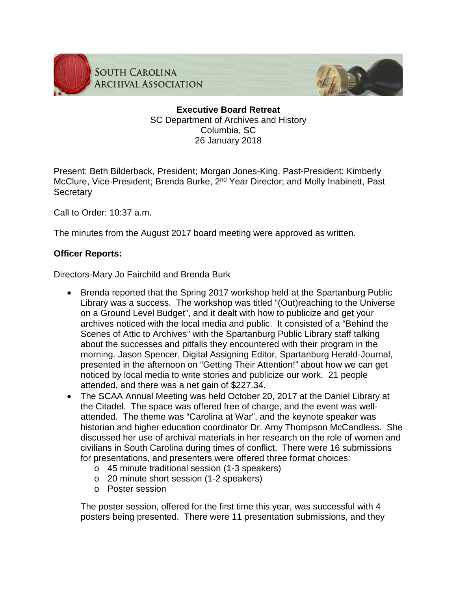

**SOUTH CAROLINA ARCHIVAL ASSOCIATION** 



## **Executive Board Retreat** SC Department of Archives and History Columbia, SC 26 January 2018

Present: Beth Bilderback, President; Morgan Jones-King, Past-President; Kimberly McClure, Vice-President; Brenda Burke, 2<sup>nd</sup> Year Director; and Molly Inabinett, Past **Secretary** 

Call to Order: 10:37 a.m.

The minutes from the August 2017 board meeting were approved as written.

## **Officer Reports:**

Directors-Mary Jo Fairchild and Brenda Burk

- Brenda reported that the Spring 2017 workshop held at the Spartanburg Public Library was a success. The workshop was titled "(Out)reaching to the Universe on a Ground Level Budget", and it dealt with how to publicize and get your archives noticed with the local media and public. It consisted of a "Behind the Scenes of Attic to Archives" with the Spartanburg Public Library staff talking about the successes and pitfalls they encountered with their program in the morning. Jason Spencer, Digital Assigning Editor, Spartanburg Herald-Journal, presented in the afternoon on "Getting Their Attention!" about how we can get noticed by local media to write stories and publicize our work. 21 people attended, and there was a net gain of \$227.34.
- The SCAA Annual Meeting was held October 20, 2017 at the Daniel Library at the Citadel. The space was offered free of charge, and the event was wellattended. The theme was "Carolina at War", and the keynote speaker was historian and higher education coordinator Dr. Amy Thompson McCandless. She discussed her use of archival materials in her research on the role of women and civilians in South Carolina during times of conflict. There were 16 submissions for presentations, and presenters were offered three format choices:
	- o 45 minute traditional session (1-3 speakers)
	- o 20 minute short session (1-2 speakers)
	- o Poster session

The poster session, offered for the first time this year, was successful with 4 posters being presented. There were 11 presentation submissions, and they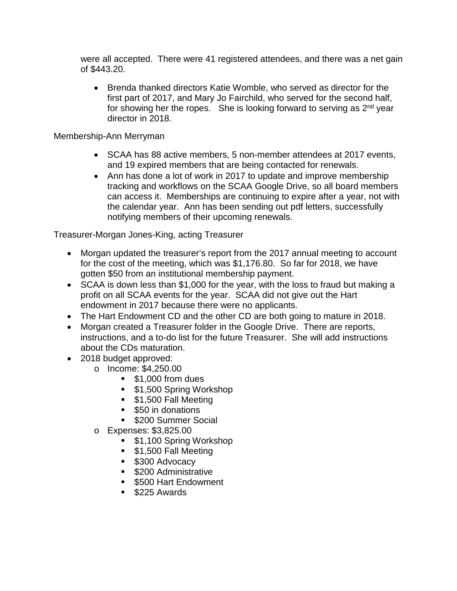were all accepted. There were 41 registered attendees, and there was a net gain of \$443.20.

• Brenda thanked directors Katie Womble, who served as director for the first part of 2017, and Mary Jo Fairchild, who served for the second half, for showing her the ropes. She is looking forward to serving as  $2<sup>nd</sup>$  year director in 2018.

Membership-Ann Merryman

- SCAA has 88 active members, 5 non-member attendees at 2017 events, and 19 expired members that are being contacted for renewals.
- Ann has done a lot of work in 2017 to update and improve membership tracking and workflows on the SCAA Google Drive, so all board members can access it. Memberships are continuing to expire after a year, not with the calendar year. Ann has been sending out pdf letters, successfully notifying members of their upcoming renewals.

Treasurer-Morgan Jones-King, acting Treasurer

- Morgan updated the treasurer's report from the 2017 annual meeting to account for the cost of the meeting, which was \$1,176.80. So far for 2018, we have gotten \$50 from an institutional membership payment.
- SCAA is down less than \$1,000 for the year, with the loss to fraud but making a profit on all SCAA events for the year. SCAA did not give out the Hart endowment in 2017 because there were no applicants.
- The Hart Endowment CD and the other CD are both going to mature in 2018.
- Morgan created a Treasurer folder in the Google Drive. There are reports, instructions, and a to-do list for the future Treasurer. She will add instructions about the CDs maturation.
- 2018 budget approved:
	- o Income: \$4,250.00
		- $\bullet$  \$1,000 from dues
		- \$1,500 Spring Workshop
		- **\$1,500 Fall Meeting**
		- **550** in donations
		- **5200 Summer Social**
	- o Expenses: \$3,825.00
		- \$1,100 Spring Workshop
		- **51,500 Fall Meeting**
		- **S300 Advocacy**
		- **S200 Administrative**
		- **5500 Hart Endowment**
		- \$225 Awards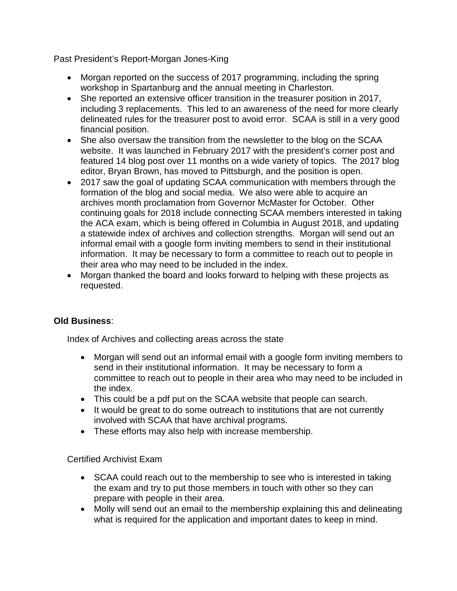Past President's Report-Morgan Jones-King

- Morgan reported on the success of 2017 programming, including the spring workshop in Spartanburg and the annual meeting in Charleston.
- She reported an extensive officer transition in the treasurer position in 2017, including 3 replacements. This led to an awareness of the need for more clearly delineated rules for the treasurer post to avoid error. SCAA is still in a very good financial position.
- She also oversaw the transition from the newsletter to the blog on the SCAA website. It was launched in February 2017 with the president's corner post and featured 14 blog post over 11 months on a wide variety of topics. The 2017 blog editor, Bryan Brown, has moved to Pittsburgh, and the position is open.
- 2017 saw the goal of updating SCAA communication with members through the formation of the blog and social media. We also were able to acquire an archives month proclamation from Governor McMaster for October. Other continuing goals for 2018 include connecting SCAA members interested in taking the ACA exam, which is being offered in Columbia in August 2018, and updating a statewide index of archives and collection strengths. Morgan will send out an informal email with a google form inviting members to send in their institutional information. It may be necessary to form a committee to reach out to people in their area who may need to be included in the index.
- Morgan thanked the board and looks forward to helping with these projects as requested.

# **Old Business**:

Index of Archives and collecting areas across the state

- Morgan will send out an informal email with a google form inviting members to send in their institutional information. It may be necessary to form a committee to reach out to people in their area who may need to be included in the index.
- This could be a pdf put on the SCAA website that people can search.
- It would be great to do some outreach to institutions that are not currently involved with SCAA that have archival programs.
- These efforts may also help with increase membership.

### Certified Archivist Exam

- SCAA could reach out to the membership to see who is interested in taking the exam and try to put those members in touch with other so they can prepare with people in their area.
- Molly will send out an email to the membership explaining this and delineating what is required for the application and important dates to keep in mind.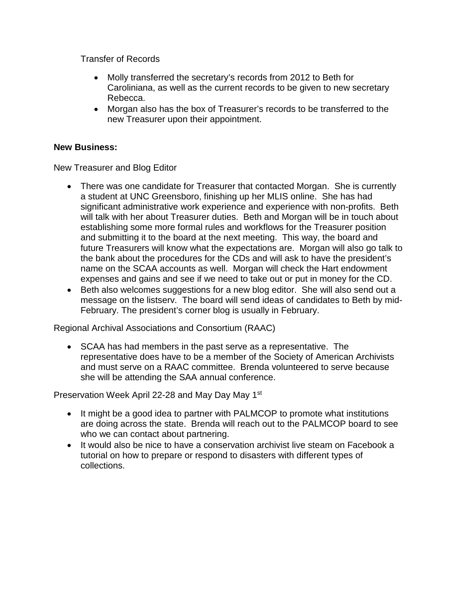Transfer of Records

- Molly transferred the secretary's records from 2012 to Beth for Caroliniana, as well as the current records to be given to new secretary Rebecca.
- Morgan also has the box of Treasurer's records to be transferred to the new Treasurer upon their appointment.

## **New Business:**

New Treasurer and Blog Editor

- There was one candidate for Treasurer that contacted Morgan. She is currently a student at UNC Greensboro, finishing up her MLIS online. She has had significant administrative work experience and experience with non-profits. Beth will talk with her about Treasurer duties. Beth and Morgan will be in touch about establishing some more formal rules and workflows for the Treasurer position and submitting it to the board at the next meeting. This way, the board and future Treasurers will know what the expectations are. Morgan will also go talk to the bank about the procedures for the CDs and will ask to have the president's name on the SCAA accounts as well. Morgan will check the Hart endowment expenses and gains and see if we need to take out or put in money for the CD.
- Beth also welcomes suggestions for a new blog editor. She will also send out a message on the listserv. The board will send ideas of candidates to Beth by mid-February. The president's corner blog is usually in February.

Regional Archival Associations and Consortium (RAAC)

• SCAA has had members in the past serve as a representative. The representative does have to be a member of the Society of American Archivists and must serve on a RAAC committee. Brenda volunteered to serve because she will be attending the SAA annual conference.

Preservation Week April 22-28 and May Day May 1st

- It might be a good idea to partner with PALMCOP to promote what institutions are doing across the state. Brenda will reach out to the PALMCOP board to see who we can contact about partnering.
- It would also be nice to have a conservation archivist live steam on Facebook a tutorial on how to prepare or respond to disasters with different types of collections.